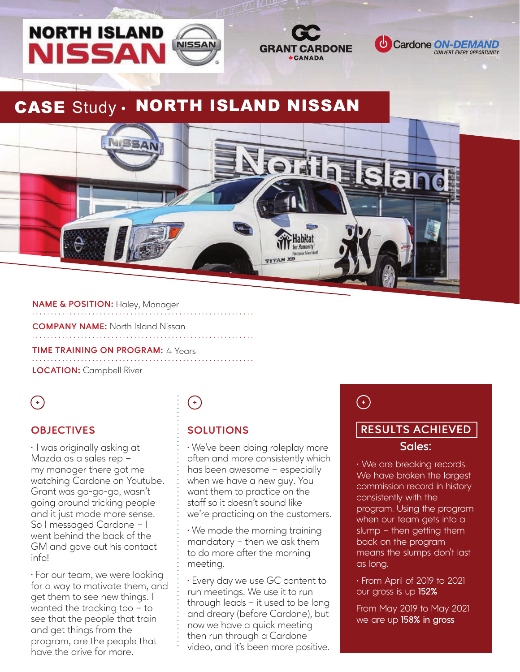





## CASE Study . NORTH ISLAND NISSAN



#### **NAME & POSITION:** Haley, Manager

**COMPANY NAME:** North Island Nissan

## **TIME TRAINING ON PROGRAM: 4 Years**

**LOCATION:** Campbell River **FEEDBACK ON SUPPORT FROM THE CARDONE TEAM** THE CARDONE TEAM SUPPORT FROM THE CARDONE TEAM

## $\left( \begin{matrix} + \end{matrix} \right)$

#### **OBJECTIVES**

 $\cdot$  I was originally asking at Mazda as a sales rep – my manager there got me watching Cardone on Youtube. Grant was go-go-go, wasn't going around tricking people and it just made more sense. So I messaged Cardone – I went behind the back of the GM and gave out his contact info!

⁌ For our team, we were looking for a way to motivate them, and get them to see new things. I wanted the tracking too – to see that the people that train and get things from the program, are the people that have the drive for more.

# $\bigodot$

#### **SOLUTIONS**

⁌ We've been doing roleplay more often and more consistently which has been awesome – especially when we have a new guy. You want them to practice on the staff so it doesn't sound like we're practicing on the customers.

⁌ We made the morning training mandatory – then we ask them to do more after the morning meeting.

⁌ Every day we use GC content to run meetings. We use it to run through leads – it used to be long and dreary (before Cardone), but now we have a quick meeting then run through a Cardone video, and it's been more positive.  $\bigodot$ 

#### **RESULTS ACHIEVED**

#### **Sales:**

• We are breaking records. We have broken the largest commission record in history consistently with the program. Using the program when our team gets into a slump – then getting them back on the program means the slumps don't last as long.

• From April of 2019 to 2021 our gross is up **152%**

From May 2019 to May 2021 we are up **158% in gross**